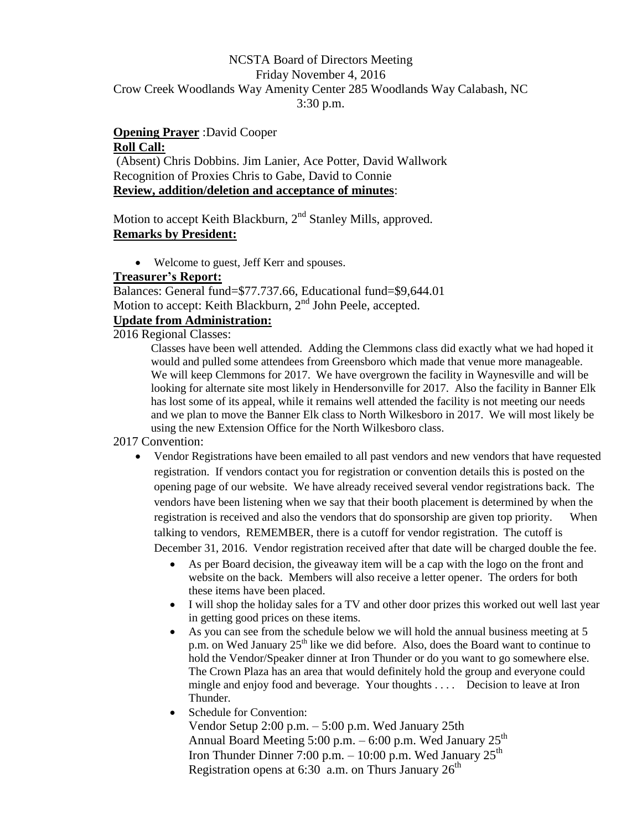# NCSTA Board of Directors Meeting Friday November 4, 2016 Crow Creek Woodlands Way Amenity Center 285 Woodlands Way Calabash, NC 3:30 p.m.

# **Opening Prayer** :David Cooper **Roll Call:**

(Absent) Chris Dobbins. Jim Lanier, Ace Potter, David Wallwork Recognition of Proxies Chris to Gabe, David to Connie **Review, addition/deletion and acceptance of minutes**:

Motion to accept Keith Blackburn, 2<sup>nd</sup> Stanley Mills, approved. **Remarks by President:**

Welcome to guest, Jeff Kerr and spouses.

# **Treasurer's Report:**

Balances: General fund=\$77.737.66, Educational fund=\$9,644.01 Motion to accept: Keith Blackburn, 2<sup>nd</sup> John Peele, accepted.

# **Update from Administration:**

2016 Regional Classes:

Classes have been well attended. Adding the Clemmons class did exactly what we had hoped it would and pulled some attendees from Greensboro which made that venue more manageable. We will keep Clemmons for 2017. We have overgrown the facility in Waynesville and will be looking for alternate site most likely in Hendersonville for 2017. Also the facility in Banner Elk has lost some of its appeal, while it remains well attended the facility is not meeting our needs and we plan to move the Banner Elk class to North Wilkesboro in 2017. We will most likely be using the new Extension Office for the North Wilkesboro class.

# 2017 Convention:

- Vendor Registrations have been emailed to all past vendors and new vendors that have requested registration. If vendors contact you for registration or convention details this is posted on the opening page of our website. We have already received several vendor registrations back. The vendors have been listening when we say that their booth placement is determined by when the registration is received and also the vendors that do sponsorship are given top priority. When talking to vendors, REMEMBER, there is a cutoff for vendor registration. The cutoff is December 31, 2016. Vendor registration received after that date will be charged double the fee.
	- As per Board decision, the giveaway item will be a cap with the logo on the front and website on the back. Members will also receive a letter opener. The orders for both these items have been placed.
	- I will shop the holiday sales for a TV and other door prizes this worked out well last year in getting good prices on these items.
	- As you can see from the schedule below we will hold the annual business meeting at 5 p.m. on Wed January  $25<sup>th</sup>$  like we did before. Also, does the Board want to continue to hold the Vendor/Speaker dinner at Iron Thunder or do you want to go somewhere else. The Crown Plaza has an area that would definitely hold the group and everyone could mingle and enjoy food and beverage. Your thoughts .... Decision to leave at Iron Thunder.

• Schedule for Convention:

Vendor Setup 2:00 p.m. – 5:00 p.m. Wed January 25th Annual Board Meeting 5:00 p.m.  $-6:00$  p.m. Wed January  $25<sup>th</sup>$ Iron Thunder Dinner 7:00 p.m.  $-10:00$  p.m. Wed January  $25<sup>th</sup>$ Registration opens at 6:30 a.m. on Thurs January  $26<sup>th</sup>$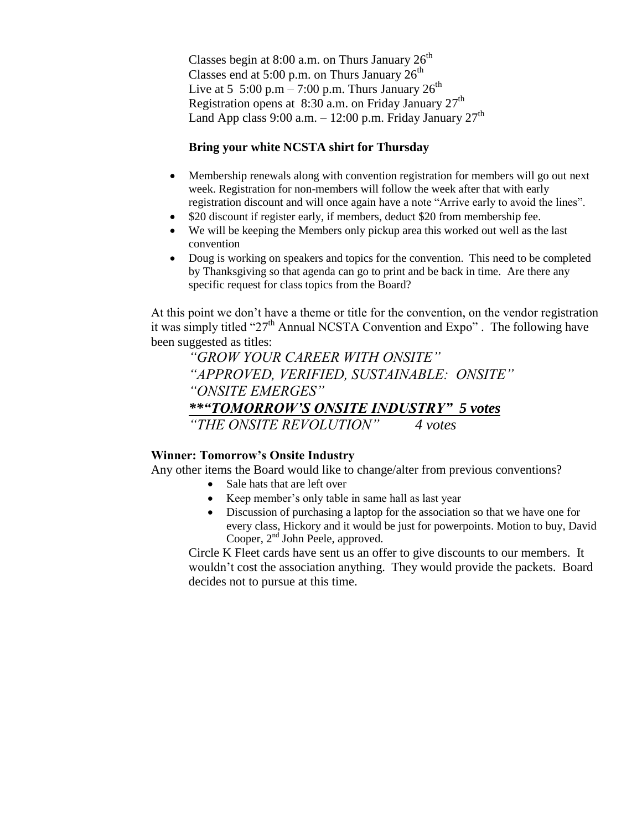Classes begin at 8:00 a.m. on Thurs January  $26<sup>th</sup>$ Classes end at 5:00 p.m. on Thurs January  $26<sup>th</sup>$ Live at 5 5:00 p.m – 7:00 p.m. Thurs January  $26^{\text{th}}$ Registration opens at  $8:30$  a.m. on Friday January  $27<sup>th</sup>$ Land App class 9:00 a.m.  $-12:00$  p.m. Friday January  $27<sup>th</sup>$ 

## **Bring your white NCSTA shirt for Thursday**

- Membership renewals along with convention registration for members will go out next week. Registration for non-members will follow the week after that with early registration discount and will once again have a note "Arrive early to avoid the lines".
- \$20 discount if register early, if members, deduct \$20 from membership fee.
- We will be keeping the Members only pickup area this worked out well as the last convention
- Doug is working on speakers and topics for the convention. This need to be completed by Thanksgiving so that agenda can go to print and be back in time. Are there any specific request for class topics from the Board?

At this point we don't have a theme or title for the convention, on the vendor registration it was simply titled "27<sup>th</sup> Annual NCSTA Convention and Expo". The following have been suggested as titles:

*"GROW YOUR CAREER WITH ONSITE" "APPROVED, VERIFIED, SUSTAINABLE: ONSITE" "ONSITE EMERGES" \*\*"TOMORROW'S ONSITE INDUSTRY" 5 votes "THE ONSITE REVOLUTION" 4 votes*

#### **Winner: Tomorrow's Onsite Industry**

Any other items the Board would like to change/alter from previous conventions?

- Sale hats that are left over
- Keep member's only table in same hall as last year
- Discussion of purchasing a laptop for the association so that we have one for every class, Hickory and it would be just for powerpoints. Motion to buy, David Cooper, 2<sup>nd</sup> John Peele, approved.

Circle K Fleet cards have sent us an offer to give discounts to our members. It wouldn't cost the association anything. They would provide the packets. Board decides not to pursue at this time.